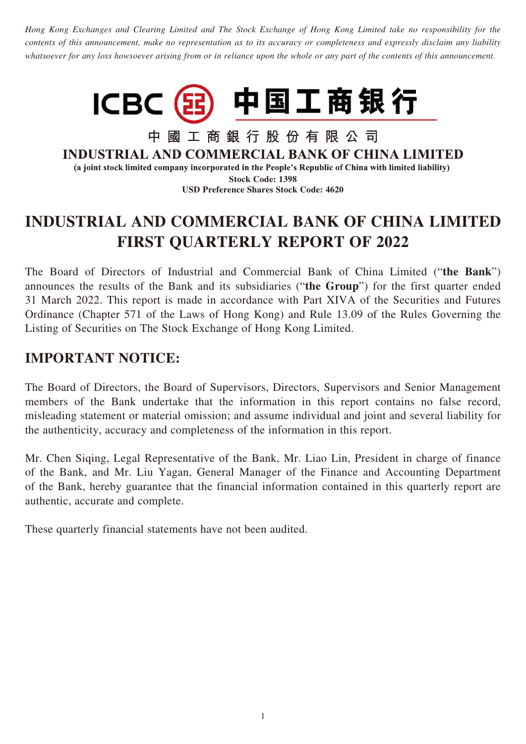*Hong Kong Exchanges and Clearing Limited and The Stock Exchange of Hong Kong Limited take no responsibility for the contents of this announcement, make no representation as to its accuracy or completeness and expressly disclaim any liability whatsoever for any loss howsoever arising from or in reliance upon the whole or any part of the contents of this announcement.*



中國工商銀行股份有限公司 **INDUSTRIAL AND COMMERCIAL BANK OF CHINA LIMITED** (a joint stock limited company incorporated in the People's Republic of China with limited liability) **Stock Code: 1398**

**USD Preference Shares Stock Code: 4620**

# **INDUSTRIAL AND COMMERCIAL BANK OF CHINA LIMITED FIRST QUARTERLY REPORT OF 2022**

The Board of Directors of Industrial and Commercial Bank of China Limited ("**the Bank**") announces the results of the Bank and its subsidiaries ("**the Group**") for the first quarter ended 31 March 2022. This report is made in accordance with Part XIVA of the Securities and Futures Ordinance (Chapter 571 of the Laws of Hong Kong) and Rule 13.09 of the Rules Governing the Listing of Securities on The Stock Exchange of Hong Kong Limited.

# **IMPORTANT NOTICE:**

The Board of Directors, the Board of Supervisors, Directors, Supervisors and Senior Management members of the Bank undertake that the information in this report contains no false record, misleading statement or material omission; and assume individual and joint and several liability for the authenticity, accuracy and completeness of the information in this report.

Mr. Chen Siqing, Legal Representative of the Bank, Mr. Liao Lin, President in charge of finance of the Bank, and Mr. Liu Yagan, General Manager of the Finance and Accounting Department of the Bank, hereby guarantee that the financial information contained in this quarterly report are authentic, accurate and complete.

These quarterly financial statements have not been audited.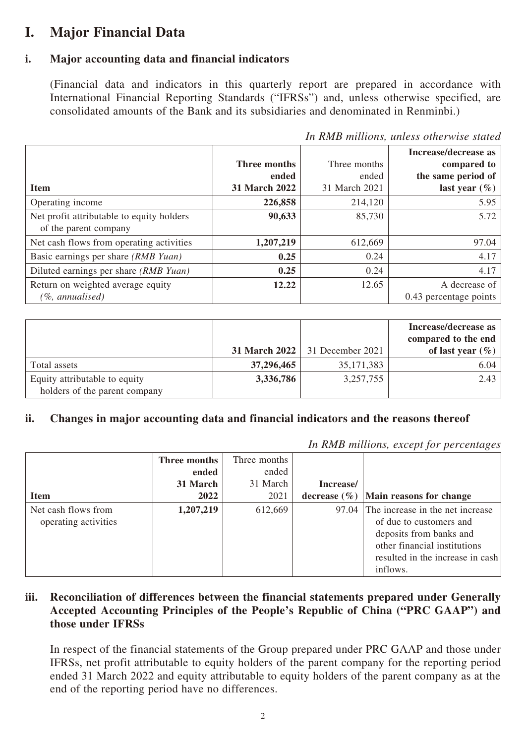# **I. Major Financial Data**

### **i. Major accounting data and financial indicators**

(Financial data and indicators in this quarterly report are prepared in accordance with International Financial Reporting Standards ("IFRSs") and, unless otherwise specified, are consolidated amounts of the Bank and its subsidiaries and denominated in Renminbi.)

|                                           |                     |               | Increase/decrease as   |
|-------------------------------------------|---------------------|---------------|------------------------|
|                                           | <b>Three months</b> | Three months  | compared to            |
|                                           | ended               | ended         | the same period of     |
| <b>Item</b>                               | 31 March 2022       | 31 March 2021 | last year $(\%)$       |
| Operating income                          | 226,858             | 214,120       | 5.95                   |
| Net profit attributable to equity holders | 90,633              | 85,730        | 5.72                   |
| of the parent company                     |                     |               |                        |
| Net cash flows from operating activities  | 1,207,219           | 612,669       | 97.04                  |
| Basic earnings per share (RMB Yuan)       | 0.25                | 0.24          | 4.17                   |
| Diluted earnings per share (RMB Yuan)     | 0.25                | 0.24          | 4.17                   |
| Return on weighted average equity         | 12.22               | 12.65         | A decrease of          |
| (%, annualised)                           |                     |               | 0.43 percentage points |

*In RMB millions, unless otherwise stated*

|                                                                |               |                  | Increase/decrease as<br>compared to the end |
|----------------------------------------------------------------|---------------|------------------|---------------------------------------------|
|                                                                | 31 March 2022 | 31 December 2021 | of last year $(\% )$                        |
| Total assets                                                   | 37,296,465    | 35, 171, 383     | 6.04                                        |
| Equity attributable to equity<br>holders of the parent company | 3,336,786     | 3,257,755        | 2.43                                        |

### **ii. Changes in major accounting data and financial indicators and the reasons thereof**

*In RMB millions, except for percentages*

|                      | Three months | Three months |           |                                           |
|----------------------|--------------|--------------|-----------|-------------------------------------------|
|                      | ended        | ended        |           |                                           |
|                      | 31 March     | 31 March     | Increase/ |                                           |
| <b>Item</b>          | 2022         | 2021         |           | decrease $(\% )$  Main reasons for change |
| Net cash flows from  | 1,207,219    | 612,669      |           | 97.04 The increase in the net increase    |
| operating activities |              |              |           | of due to customers and                   |
|                      |              |              |           | deposits from banks and                   |
|                      |              |              |           | other financial institutions              |
|                      |              |              |           | resulted in the increase in cash          |
|                      |              |              |           | inflows.                                  |

#### **iii. Reconciliation of differences between the financial statements prepared under Generally Accepted Accounting Principles of the People's Republic of China ("PRC GAAP") and those under IFRSs**

In respect of the financial statements of the Group prepared under PRC GAAP and those under IFRSs, net profit attributable to equity holders of the parent company for the reporting period ended 31 March 2022 and equity attributable to equity holders of the parent company as at the end of the reporting period have no differences.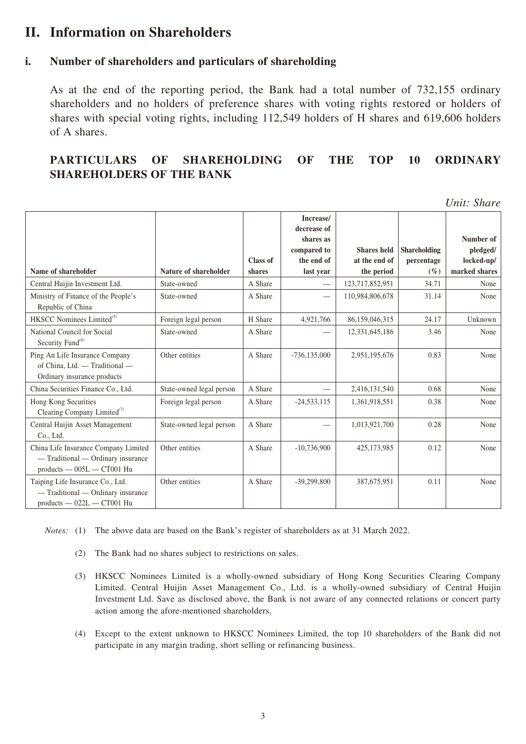### **II. Information on Shareholders**

#### **i. Number of shareholders and particulars of shareholding**

As at the end of the reporting period, the Bank had a total number of 732,155 ordinary shareholders and no holders of preference shares with voting rights restored or holders of shares with special voting rights, including 112,549 holders of H shares and 619,606 holders of A shares.

#### **PARTICULARS OF SHAREHOLDING OF THE TOP 10 ORDINARY SHAREHOLDERS OF THE BANK**

*Unit: Share*

|                                                                                                            |                              |          | Increase/<br>decrease of<br>shares as<br>compared to | <b>Shares</b> held | <b>Shareholding</b> | Number of<br>pledged/ |
|------------------------------------------------------------------------------------------------------------|------------------------------|----------|------------------------------------------------------|--------------------|---------------------|-----------------------|
|                                                                                                            |                              | Class of | the end of                                           | at the end of      | percentage          | locked-up/            |
| Name of shareholder                                                                                        | <b>Nature of shareholder</b> | shares   | last year                                            | the period         | $(\%)$              | marked shares         |
| Central Huijin Investment Ltd.                                                                             | State-owned                  | A Share  | $\overline{\phantom{0}}$                             | 123,717,852,951    | 34.71               | None                  |
| Ministry of Finance of the People's<br>Republic of China                                                   | State-owned                  | A Share  |                                                      | 110,984,806,678    | 31.14               | None                  |
| HKSCC Nominees Limited <sup>(5)</sup>                                                                      | Foreign legal person         | H Share  | 4,921,766                                            | 86,159,046,315     | 24.17               | Unknown               |
| National Council for Social<br>Security Fund <sup>(6)</sup>                                                | State-owned                  | A Share  |                                                      | 12,331,645,186     | 3.46                | None                  |
| Ping An Life Insurance Company<br>of China, Ltd. - Traditional -<br>Ordinary insurance products            | Other entities               | A Share  | $-736, 135, 000$                                     | 2,951,195,676      | 0.83                | None                  |
| China Securities Finance Co., Ltd.                                                                         | State-owned legal person     | A Share  |                                                      | 2,416,131,540      | 0.68                | None                  |
| Hong Kong Securities<br>Clearing Company Limited $(7)$                                                     | Foreign legal person         | A Share  | $-24,533,115$                                        | 1,361,918,551      | 0.38                | None                  |
| Central Huijin Asset Management<br>Co., Ltd.                                                               | State-owned legal person     | A Share  |                                                      | 1,013,921,700      | 0.28                | None                  |
| China Life Insurance Company Limited<br>- Traditional - Ordinary insurance<br>$products = 005L = CT001$ Hu | Other entities               | A Share  | $-10,736,900$                                        | 425,173,985        | 0.12                | None                  |
| Taiping Life Insurance Co., Ltd.<br>- Traditional - Ordinary insurance<br>products - 022L - CT001 Hu       | Other entities               | A Share  | $-39,299,800$                                        | 387,675,951        | 0.11                | None                  |

*Notes:* (1) The above data are based on the Bank's register of shareholders as at 31 March 2022.

- (2) The Bank had no shares subject to restrictions on sales.
- (3) HKSCC Nominees Limited is a wholly-owned subsidiary of Hong Kong Securities Clearing Company Limited. Central Huijin Asset Management Co., Ltd. is a wholly-owned subsidiary of Central Huijin Investment Ltd. Save as disclosed above, the Bank is not aware of any connected relations or concert party action among the afore-mentioned shareholders.
- (4) Except to the extent unknown to HKSCC Nominees Limited, the top 10 shareholders of the Bank did not participate in any margin trading, short selling or refinancing business.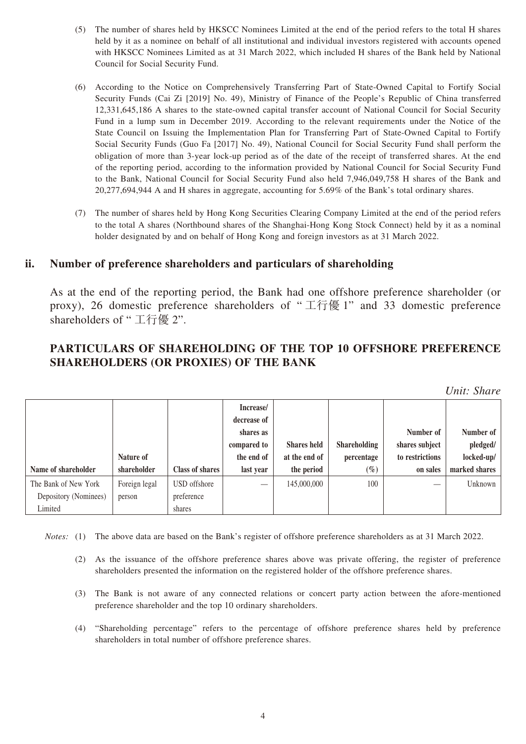- (5) The number of shares held by HKSCC Nominees Limited at the end of the period refers to the total H shares held by it as a nominee on behalf of all institutional and individual investors registered with accounts opened with HKSCC Nominees Limited as at 31 March 2022, which included H shares of the Bank held by National Council for Social Security Fund.
- (6) According to the Notice on Comprehensively Transferring Part of State-Owned Capital to Fortify Social Security Funds (Cai Zi [2019] No. 49), Ministry of Finance of the People's Republic of China transferred 12,331,645,186 A shares to the state-owned capital transfer account of National Council for Social Security Fund in a lump sum in December 2019. According to the relevant requirements under the Notice of the State Council on Issuing the Implementation Plan for Transferring Part of State-Owned Capital to Fortify Social Security Funds (Guo Fa [2017] No. 49), National Council for Social Security Fund shall perform the obligation of more than 3-year lock-up period as of the date of the receipt of transferred shares. At the end of the reporting period, according to the information provided by National Council for Social Security Fund to the Bank, National Council for Social Security Fund also held 7,946,049,758 H shares of the Bank and 20,277,694,944 A and H shares in aggregate, accounting for 5.69% of the Bank's total ordinary shares.
- (7) The number of shares held by Hong Kong Securities Clearing Company Limited at the end of the period refers to the total A shares (Northbound shares of the Shanghai-Hong Kong Stock Connect) held by it as a nominal holder designated by and on behalf of Hong Kong and foreign investors as at 31 March 2022.

#### **ii. Number of preference shareholders and particulars of shareholding**

As at the end of the reporting period, the Bank had one offshore preference shareholder (or proxy), 26 domestic preference shareholders of " 工行優 1" and 33 domestic preference shareholders of " 工行優 2".

#### **PARTICULARS OF SHAREHOLDING OF THE TOP 10 OFFSHORE PREFERENCE SHAREHOLDERS (OR PROXIES) OF THE BANK**

| Name of shareholder   | Nature of<br>shareholder | <b>Class of shares</b> | Increase/<br>decrease of<br>shares as<br>compared to<br>the end of<br>last year | <b>Shares held</b><br>at the end of<br>the period | <b>Shareholding</b><br>percentage<br>$(\%)$ | Number of<br>shares subject<br>to restrictions<br>on sales | Number of<br>pledged/<br>locked-up/<br>marked shares |
|-----------------------|--------------------------|------------------------|---------------------------------------------------------------------------------|---------------------------------------------------|---------------------------------------------|------------------------------------------------------------|------------------------------------------------------|
| The Bank of New York  | Foreign legal            | USD offshore           | $\overline{\phantom{a}}$                                                        | 145,000,000                                       | 100                                         |                                                            | Unknown                                              |
| Depository (Nominees) | person                   | preference             |                                                                                 |                                                   |                                             |                                                            |                                                      |
| Limited               |                          | shares                 |                                                                                 |                                                   |                                             |                                                            |                                                      |

*Notes:* (1) The above data are based on the Bank's register of offshore preference shareholders as at 31 March 2022.

- (2) As the issuance of the offshore preference shares above was private offering, the register of preference shareholders presented the information on the registered holder of the offshore preference shares.
- (3) The Bank is not aware of any connected relations or concert party action between the afore-mentioned preference shareholder and the top 10 ordinary shareholders.
- (4) "Shareholding percentage" refers to the percentage of offshore preference shares held by preference shareholders in total number of offshore preference shares.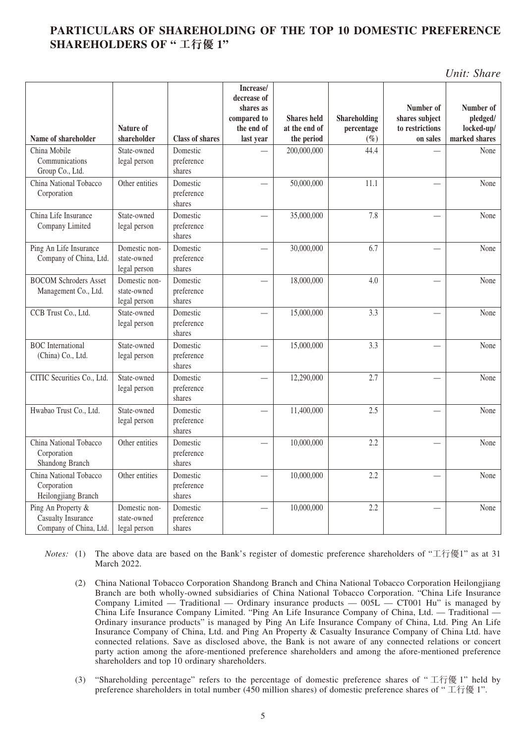### **PARTICULARS OF SHAREHOLDING OF THE TOP 10 DOMESTIC PREFERENCE SHAREHOLDERS OF " 工行優 1"**

*Unit: Share*

|                                                                    |                                              |                                  | Increase/<br>decrease of<br>shares as<br>compared to | <b>Shares held</b>          | Shareholding         | Number of<br>shares subject | Number of<br>pledged/       |
|--------------------------------------------------------------------|----------------------------------------------|----------------------------------|------------------------------------------------------|-----------------------------|----------------------|-----------------------------|-----------------------------|
| Name of shareholder                                                | Nature of<br>shareholder                     | <b>Class of shares</b>           | the end of<br>last year                              | at the end of<br>the period | percentage<br>$(\%)$ | to restrictions<br>on sales | locked-up/<br>marked shares |
| China Mobile<br>Communications<br>Group Co., Ltd.                  | State-owned<br>legal person                  | Domestic<br>preference<br>shares |                                                      | 200,000,000                 | 44.4                 |                             | None                        |
| China National Tobacco<br>Corporation                              | Other entities                               | Domestic<br>preference<br>shares |                                                      | 50,000,000                  | 11.1                 |                             | None                        |
| China Life Insurance<br>Company Limited                            | State-owned<br>legal person                  | Domestic<br>preference<br>shares |                                                      | 35,000,000                  | 7.8                  |                             | None                        |
| Ping An Life Insurance<br>Company of China, Ltd.                   | Domestic non-<br>state-owned<br>legal person | Domestic<br>preference<br>shares |                                                      | 30,000,000                  | 6.7                  |                             | None                        |
| <b>BOCOM Schroders Asset</b><br>Management Co., Ltd.               | Domestic non-<br>state-owned<br>legal person | Domestic<br>preference<br>shares |                                                      | 18,000,000                  | 4.0                  |                             | None                        |
| CCB Trust Co., Ltd.                                                | State-owned<br>legal person                  | Domestic<br>preference<br>shares |                                                      | 15,000,000                  | 3.3                  |                             | None                        |
| <b>BOC</b> International<br>(China) Co., Ltd.                      | State-owned<br>legal person                  | Domestic<br>preference<br>shares |                                                      | 15,000,000                  | 3.3                  |                             | None                        |
| CITIC Securities Co., Ltd.                                         | State-owned<br>legal person                  | Domestic<br>preference<br>shares |                                                      | 12,290,000                  | 2.7                  |                             | None                        |
| Hwabao Trust Co., Ltd.                                             | State-owned<br>legal person                  | Domestic<br>preference<br>shares |                                                      | 11,400,000                  | 2.5                  |                             | None                        |
| China National Tobacco<br>Corporation<br>Shandong Branch           | Other entities                               | Domestic<br>preference<br>shares |                                                      | 10,000,000                  | 2.2                  |                             | None                        |
| China National Tobacco<br>Corporation<br>Heilongjiang Branch       | Other entities                               | Domestic<br>preference<br>shares |                                                      | 10,000,000                  | 2.2                  |                             | None                        |
| Ping An Property &<br>Casualty Insurance<br>Company of China, Ltd. | Domestic non-<br>state-owned<br>legal person | Domestic<br>preference<br>shares |                                                      | 10,000,000                  | 2.2                  |                             | None                        |

*Notes:* (1) The above data are based on the Bank's register of domestic preference shareholders of "工行優1" as at 31 March 2022.

- (2) China National Tobacco Corporation Shandong Branch and China National Tobacco Corporation Heilongjiang Branch are both wholly-owned subsidiaries of China National Tobacco Corporation. "China Life Insurance Company Limited — Traditional — Ordinary insurance products —  $005L$  — CT001 Hu" is managed by China Life Insurance Company Limited. "Ping An Life Insurance Company of China, Ltd. — Traditional — Ordinary insurance products" is managed by Ping An Life Insurance Company of China, Ltd. Ping An Life Insurance Company of China, Ltd. and Ping An Property & Casualty Insurance Company of China Ltd. have connected relations. Save as disclosed above, the Bank is not aware of any connected relations or concert party action among the afore-mentioned preference shareholders and among the afore-mentioned preference shareholders and top 10 ordinary shareholders.
- (3) "Shareholding percentage" refers to the percentage of domestic preference shares of " 工行優 1" held by preference shareholders in total number (450 million shares) of domestic preference shares of "工行優 1".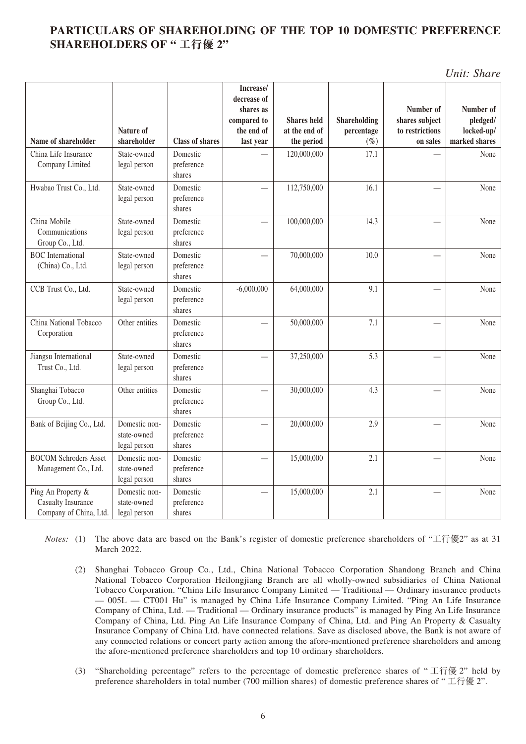#### **PARTICULARS OF SHAREHOLDING OF THE TOP 10 DOMESTIC PREFERENCE SHAREHOLDERS OF " 工行優 2"**

*Unit: Share*

|                                                                    |                                              |                                  | Increase/<br>decrease of<br>shares as |                             |                | Number of                   | Number of                   |
|--------------------------------------------------------------------|----------------------------------------------|----------------------------------|---------------------------------------|-----------------------------|----------------|-----------------------------|-----------------------------|
|                                                                    |                                              |                                  | compared to                           | <b>Shares</b> held          | Shareholding   | shares subject              | pledged/                    |
| Name of shareholder                                                | Nature of<br>shareholder                     | <b>Class of shares</b>           | the end of                            | at the end of<br>the period | percentage     | to restrictions<br>on sales | locked-up/<br>marked shares |
| China Life Insurance                                               | State-owned                                  | Domestic                         | last year                             |                             | $(\%)$<br>17.1 |                             | None                        |
| Company Limited                                                    | legal person                                 | preference<br>shares             |                                       | 120,000,000                 |                |                             |                             |
| Hwabao Trust Co., Ltd.                                             | State-owned<br>legal person                  | Domestic<br>preference<br>shares |                                       | 112,750,000                 | 16.1           |                             | None                        |
| China Mobile<br>Communications<br>Group Co., Ltd.                  | State-owned<br>legal person                  | Domestic<br>preference<br>shares |                                       | 100,000,000                 | 14.3           |                             | None                        |
| <b>BOC</b> International<br>(China) Co., Ltd.                      | State-owned<br>legal person                  | Domestic<br>preference<br>shares |                                       | 70,000,000                  | 10.0           |                             | None                        |
| CCB Trust Co., Ltd.                                                | State-owned<br>legal person                  | Domestic<br>preference<br>shares | $-6,000,000$                          | 64,000,000                  | 9.1            |                             | None                        |
| China National Tobacco<br>Corporation                              | Other entities                               | Domestic<br>preference<br>shares |                                       | 50,000,000                  | 7.1            |                             | None                        |
| Jiangsu International<br>Trust Co., Ltd.                           | State-owned<br>legal person                  | Domestic<br>preference<br>shares |                                       | 37,250,000                  | 5.3            |                             | None                        |
| Shanghai Tobacco<br>Group Co., Ltd.                                | Other entities                               | Domestic<br>preference<br>shares |                                       | 30,000,000                  | 4.3            |                             | None                        |
| Bank of Beijing Co., Ltd.                                          | Domestic non-<br>state-owned<br>legal person | Domestic<br>preference<br>shares |                                       | 20,000,000                  | 2.9            |                             | None                        |
| <b>BOCOM Schroders Asset</b><br>Management Co., Ltd.               | Domestic non-<br>state-owned<br>legal person | Domestic<br>preference<br>shares |                                       | 15,000,000                  | 2.1            |                             | None                        |
| Ping An Property &<br>Casualty Insurance<br>Company of China, Ltd. | Domestic non-<br>state-owned<br>legal person | Domestic<br>preference<br>shares |                                       | 15,000,000                  | 2.1            |                             | None                        |

*Notes:* (1) The above data are based on the Bank's register of domestic preference shareholders of "工行優2" as at 31 March 2022.

- (2) Shanghai Tobacco Group Co., Ltd., China National Tobacco Corporation Shandong Branch and China National Tobacco Corporation Heilongjiang Branch are all wholly-owned subsidiaries of China National Tobacco Corporation. "China Life Insurance Company Limited — Traditional — Ordinary insurance products — 005L — CT001 Hu" is managed by China Life Insurance Company Limited. "Ping An Life Insurance Company of China, Ltd. — Traditional — Ordinary insurance products" is managed by Ping An Life Insurance Company of China, Ltd. Ping An Life Insurance Company of China, Ltd. and Ping An Property & Casualty Insurance Company of China Ltd. have connected relations. Save as disclosed above, the Bank is not aware of any connected relations or concert party action among the afore-mentioned preference shareholders and among the afore-mentioned preference shareholders and top 10 ordinary shareholders.
- (3) "Shareholding percentage" refers to the percentage of domestic preference shares of " 工行優 2" held by preference shareholders in total number (700 million shares) of domestic preference shares of " 工行優 2".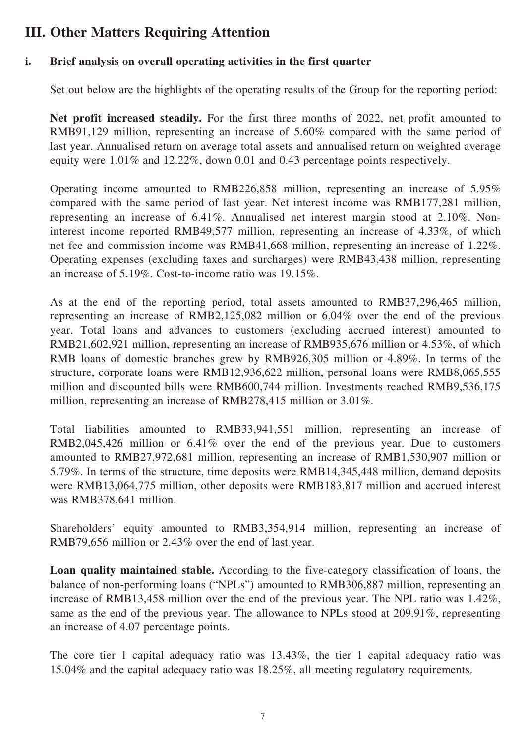# **III. Other Matters Requiring Attention**

### **i. Brief analysis on overall operating activities in the first quarter**

Set out below are the highlights of the operating results of the Group for the reporting period:

**Net profit increased steadily.** For the first three months of 2022, net profit amounted to RMB91,129 million, representing an increase of 5.60% compared with the same period of last year. Annualised return on average total assets and annualised return on weighted average equity were 1.01% and 12.22%, down 0.01 and 0.43 percentage points respectively.

Operating income amounted to RMB226,858 million, representing an increase of 5.95% compared with the same period of last year. Net interest income was RMB177,281 million, representing an increase of 6.41%. Annualised net interest margin stood at 2.10%. Noninterest income reported RMB49,577 million, representing an increase of 4.33%, of which net fee and commission income was RMB41,668 million, representing an increase of 1.22%. Operating expenses (excluding taxes and surcharges) were RMB43,438 million, representing an increase of 5.19%. Cost-to-income ratio was 19.15%.

As at the end of the reporting period, total assets amounted to RMB37,296,465 million, representing an increase of RMB2,125,082 million or 6.04% over the end of the previous year. Total loans and advances to customers (excluding accrued interest) amounted to RMB21,602,921 million, representing an increase of RMB935,676 million or 4.53%, of which RMB loans of domestic branches grew by RMB926,305 million or 4.89%. In terms of the structure, corporate loans were RMB12,936,622 million, personal loans were RMB8,065,555 million and discounted bills were RMB600,744 million. Investments reached RMB9,536,175 million, representing an increase of RMB278,415 million or 3.01%.

Total liabilities amounted to RMB33,941,551 million, representing an increase of RMB2,045,426 million or 6.41% over the end of the previous year. Due to customers amounted to RMB27,972,681 million, representing an increase of RMB1,530,907 million or 5.79%. In terms of the structure, time deposits were RMB14,345,448 million, demand deposits were RMB13,064,775 million, other deposits were RMB183,817 million and accrued interest was RMB378,641 million.

Shareholders' equity amounted to RMB3,354,914 million, representing an increase of RMB79,656 million or 2.43% over the end of last year.

**Loan quality maintained stable.** According to the five-category classification of loans, the balance of non-performing loans ("NPLs") amounted to RMB306,887 million, representing an increase of RMB13,458 million over the end of the previous year. The NPL ratio was 1.42%, same as the end of the previous year. The allowance to NPLs stood at 209.91%, representing an increase of 4.07 percentage points.

The core tier 1 capital adequacy ratio was 13.43%, the tier 1 capital adequacy ratio was 15.04% and the capital adequacy ratio was 18.25%, all meeting regulatory requirements.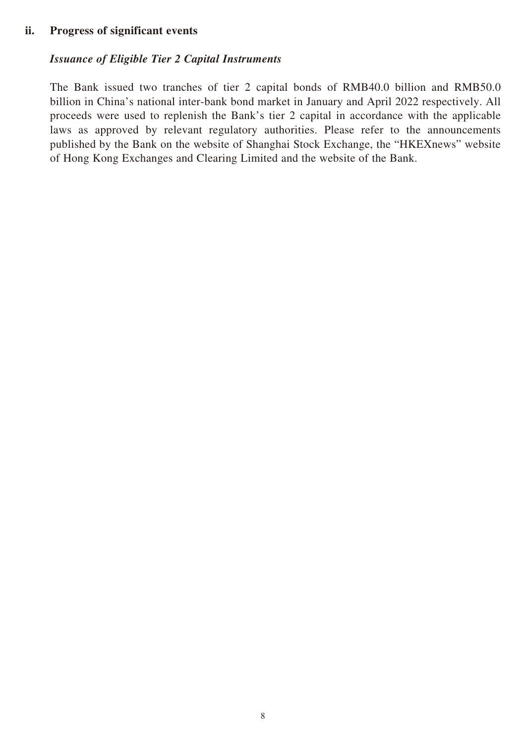#### **ii. Progress of significant events**

#### *Issuance of Eligible Tier 2 Capital Instruments*

The Bank issued two tranches of tier 2 capital bonds of RMB40.0 billion and RMB50.0 billion in China's national inter-bank bond market in January and April 2022 respectively. All proceeds were used to replenish the Bank's tier 2 capital in accordance with the applicable laws as approved by relevant regulatory authorities. Please refer to the announcements published by the Bank on the website of Shanghai Stock Exchange, the "HKEXnews" website of Hong Kong Exchanges and Clearing Limited and the website of the Bank.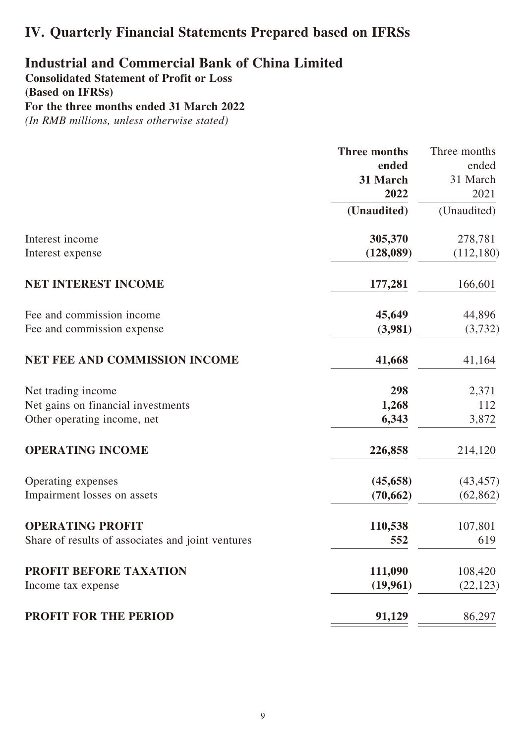# **IV. Quarterly Financial Statements Prepared based on IFRSs**

### **Industrial and Commercial Bank of China Limited Consolidated Statement of Profit or Loss**

**(Based on IFRSs) For the three months ended 31 March 2022** *(In RMB millions, unless otherwise stated)*

|                                                   | <b>Three months</b> | Three months |
|---------------------------------------------------|---------------------|--------------|
|                                                   | ended               | ended        |
|                                                   | 31 March            | 31 March     |
|                                                   | 2022                | 2021         |
|                                                   | (Unaudited)         | (Unaudited)  |
| Interest income                                   | 305,370             | 278,781      |
| Interest expense                                  | (128,089)           | (112, 180)   |
| NET INTEREST INCOME                               | 177,281             | 166,601      |
| Fee and commission income                         | 45,649              | 44,896       |
| Fee and commission expense                        | (3,981)             | (3,732)      |
| <b>NET FEE AND COMMISSION INCOME</b>              | 41,668              | 41,164       |
| Net trading income                                | 298                 | 2,371        |
| Net gains on financial investments                | 1,268               | 112          |
| Other operating income, net                       | 6,343               | 3,872        |
| <b>OPERATING INCOME</b>                           | 226,858             | 214,120      |
| Operating expenses                                | (45, 658)           | (43, 457)    |
| Impairment losses on assets                       | (70, 662)           | (62, 862)    |
| <b>OPERATING PROFIT</b>                           | 110,538             | 107,801      |
| Share of results of associates and joint ventures | 552                 | 619          |
| PROFIT BEFORE TAXATION                            | 111,090             | 108,420      |
| Income tax expense                                | (19,961)            | (22, 123)    |
| <b>PROFIT FOR THE PERIOD</b>                      | 91,129              | 86,297       |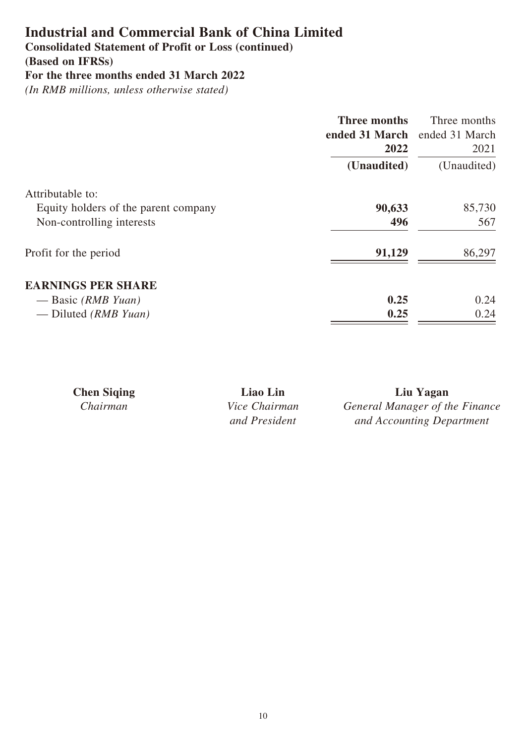### **Consolidated Statement of Profit or Loss (continued)**

**(Based on IFRSs)**

```
For the three months ended 31 March 2022
```

|                                      | Three months<br>ended 31 March ended 31 March<br>2022 | Three months<br>2021 |
|--------------------------------------|-------------------------------------------------------|----------------------|
|                                      | (Unaudited)                                           | (Unaudited)          |
| Attributable to:                     |                                                       |                      |
| Equity holders of the parent company | 90,633                                                | 85,730               |
| Non-controlling interests            | 496                                                   | 567                  |
| Profit for the period                | 91,129                                                | 86,297               |
| <b>EARNINGS PER SHARE</b>            |                                                       |                      |
| — Basic (RMB Yuan)                   | 0.25                                                  | 0.24                 |
| — Diluted ( $RMBYuan$ )              | 0.25                                                  | 0.24                 |

| <b>Chen Siging</b> | Liao Lin             | Liu Yagan                      |
|--------------------|----------------------|--------------------------------|
| Chairman           | <i>Vice Chairman</i> | General Manager of the Finance |
|                    | and President        | and Accounting Department      |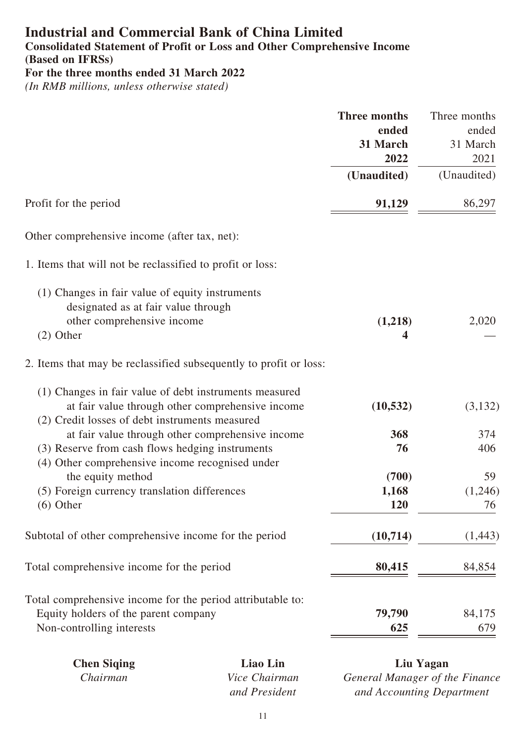# **Industrial and Commercial Bank of China Limited Consolidated Statement of Profit or Loss and Other Comprehensive Income**

**(Based on IFRSs)**

**For the three months ended 31 March 2022**

*(In RMB millions, unless otherwise stated)*

| <b>Three months</b><br>ended<br>31 March<br>2022 | Three months<br>ended<br>31 March<br>2021 |
|--------------------------------------------------|-------------------------------------------|
|                                                  | (Unaudited)                               |
| 91,129                                           | 86,297                                    |
|                                                  |                                           |
|                                                  |                                           |
| (1,218)<br>4                                     | 2,020                                     |
|                                                  |                                           |
| (10, 532)                                        | (3,132)                                   |
| 368<br>76                                        | 374<br>406                                |
| (700)<br>1,168<br>120                            | 59<br>(1,246)<br>76                       |
| (10,714)                                         | (1,443)                                   |
| 80,415                                           | 84,854                                    |
| 79,790<br>625                                    | 84,175<br>679                             |
|                                                  | (Unaudited)                               |

| <b>Chen Siging</b> | Liao Lin             | Liu Yagan                    |
|--------------------|----------------------|------------------------------|
| Chairman           | <i>Vice Chairman</i> | <b>General Manager of th</b> |
|                    | and President        | and Accounting Dep           |

*Manager of the Finance and Accounting Department*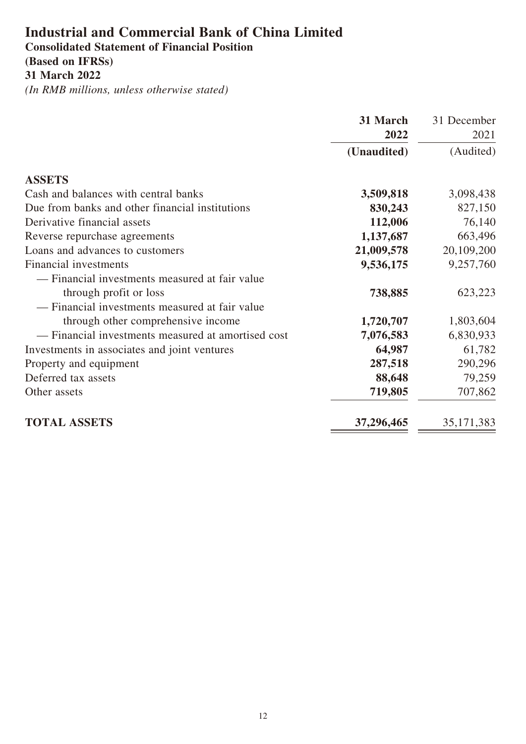### **Industrial and Commercial Bank of China Limited Consolidated Statement of Financial Position**

# **(Based on IFRSs)**

**31 March 2022**

| 31 March                                                        | 31 December  |
|-----------------------------------------------------------------|--------------|
| 2022                                                            | 2021         |
| (Unaudited)                                                     | (Audited)    |
| <b>ASSETS</b>                                                   |              |
| Cash and balances with central banks<br>3,509,818               | 3,098,438    |
| Due from banks and other financial institutions<br>830,243      | 827,150      |
| Derivative financial assets<br>112,006                          | 76,140       |
| 1,137,687<br>Reverse repurchase agreements                      | 663,496      |
| Loans and advances to customers<br>21,009,578                   | 20,109,200   |
| <b>Financial investments</b><br>9,536,175                       | 9,257,760    |
| — Financial investments measured at fair value                  |              |
| through profit or loss<br>738,885                               | 623,223      |
| - Financial investments measured at fair value                  |              |
| through other comprehensive income<br>1,720,707                 | 1,803,604    |
| - Financial investments measured at amortised cost<br>7,076,583 | 6,830,933    |
| Investments in associates and joint ventures<br>64,987          | 61,782       |
| 287,518<br>Property and equipment                               | 290,296      |
| Deferred tax assets<br>88,648                                   | 79,259       |
| 719,805<br>Other assets                                         | 707,862      |
| <b>TOTAL ASSETS</b><br>37,296,465                               | 35, 171, 383 |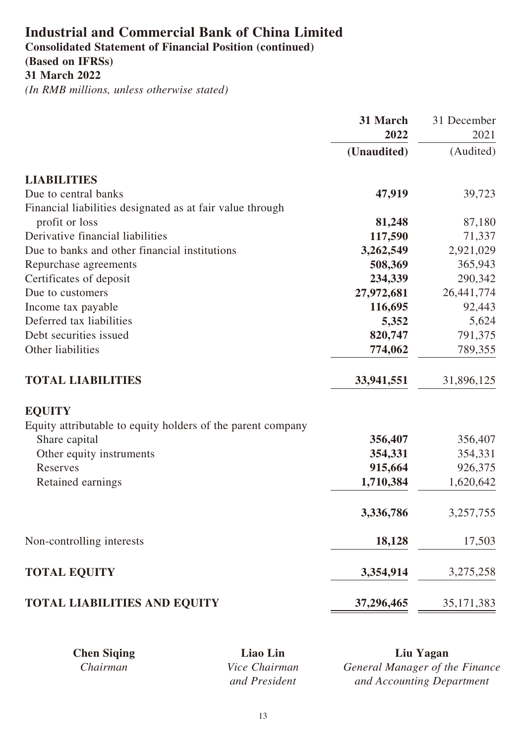**Consolidated Statement of Financial Position (continued)**

# **(Based on IFRSs)**

**31 March 2022**

|                                                             | 31 March    | 31 December  |
|-------------------------------------------------------------|-------------|--------------|
|                                                             | 2022        | 2021         |
|                                                             | (Unaudited) | (Audited)    |
| <b>LIABILITIES</b>                                          |             |              |
| Due to central banks                                        | 47,919      | 39,723       |
| Financial liabilities designated as at fair value through   |             |              |
| profit or loss                                              | 81,248      | 87,180       |
| Derivative financial liabilities                            | 117,590     | 71,337       |
| Due to banks and other financial institutions               | 3,262,549   | 2,921,029    |
| Repurchase agreements                                       | 508,369     | 365,943      |
| Certificates of deposit                                     | 234,339     | 290,342      |
| Due to customers                                            | 27,972,681  | 26, 441, 774 |
| Income tax payable                                          | 116,695     | 92,443       |
| Deferred tax liabilities                                    | 5,352       | 5,624        |
| Debt securities issued                                      | 820,747     | 791,375      |
| Other liabilities                                           | 774,062     | 789,355      |
| <b>TOTAL LIABILITIES</b>                                    | 33,941,551  | 31,896,125   |
| <b>EQUITY</b>                                               |             |              |
| Equity attributable to equity holders of the parent company |             |              |
| Share capital                                               | 356,407     | 356,407      |
| Other equity instruments                                    | 354,331     | 354,331      |
| Reserves                                                    | 915,664     | 926,375      |
| Retained earnings                                           | 1,710,384   | 1,620,642    |
|                                                             | 3,336,786   | 3,257,755    |
| Non-controlling interests                                   | 18,128      | 17,503       |
| <b>TOTAL EQUITY</b>                                         | 3,354,914   | 3,275,258    |
| <b>TOTAL LIABILITIES AND EQUITY</b>                         | 37,296,465  | 35, 171, 383 |

| <b>Chen Siging</b> | Liao Lin             | Liu Yagan                      |
|--------------------|----------------------|--------------------------------|
| Chairman           | <i>Vice Chairman</i> | General Manager of the Finance |
|                    | and President        | and Accounting Department      |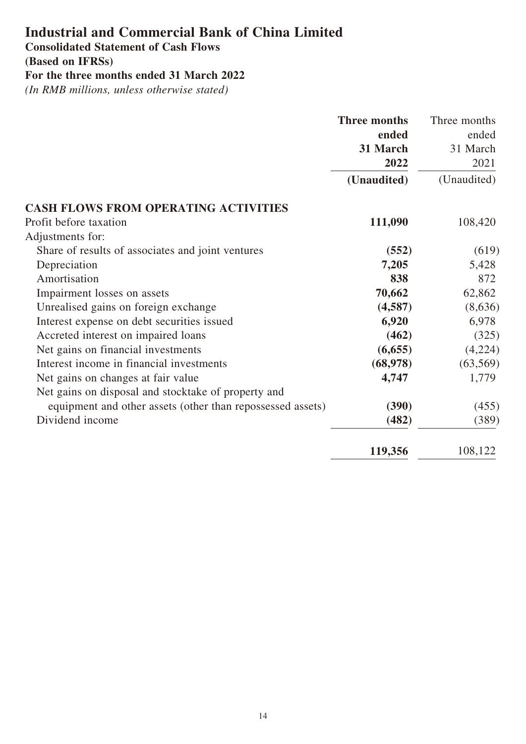**Consolidated Statement of Cash Flows**

**(Based on IFRSs)**

**For the three months ended 31 March 2022**

| <b>Three months</b>                                                 | Three months |
|---------------------------------------------------------------------|--------------|
| ended                                                               | ended        |
| 31 March                                                            | 31 March     |
| 2022                                                                | 2021         |
| (Unaudited)                                                         | (Unaudited)  |
| <b>CASH FLOWS FROM OPERATING ACTIVITIES</b>                         |              |
| 111,090<br>Profit before taxation                                   | 108,420      |
| Adjustments for:                                                    |              |
| Share of results of associates and joint ventures<br>(552)          | (619)        |
| 7,205<br>Depreciation                                               | 5,428        |
| Amortisation<br>838                                                 | 872          |
| 70,662<br>Impairment losses on assets                               | 62,862       |
| Unrealised gains on foreign exchange<br>(4,587)                     | (8,636)      |
| 6,920<br>Interest expense on debt securities issued                 | 6,978        |
| Accreted interest on impaired loans<br>(462)                        | (325)        |
| Net gains on financial investments<br>(6,655)                       | (4,224)      |
| Interest income in financial investments<br>(68, 978)               | (63, 569)    |
| 4,747<br>Net gains on changes at fair value                         | 1,779        |
| Net gains on disposal and stocktake of property and                 |              |
| equipment and other assets (other than repossessed assets)<br>(390) | (455)        |
| Dividend income<br>(482)                                            | (389)        |
| 119,356                                                             | 108,122      |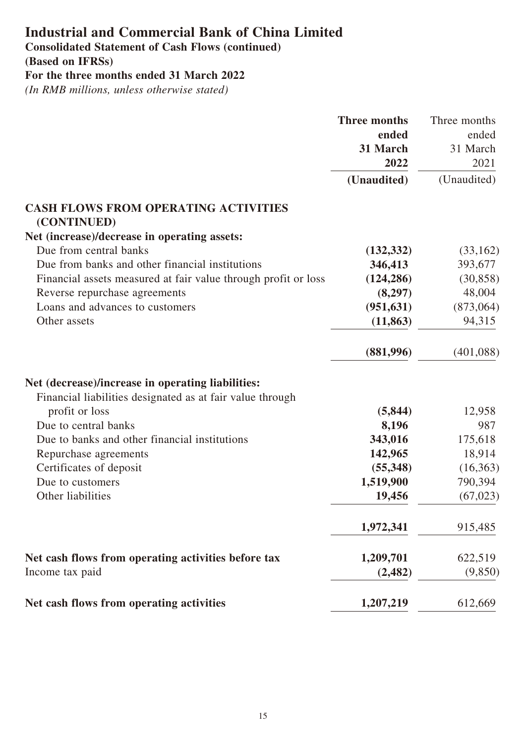**Consolidated Statement of Cash Flows (continued)**

**(Based on IFRSs)**

**For the three months ended 31 March 2022**

|                                                                | <b>Three months</b> | Three months |
|----------------------------------------------------------------|---------------------|--------------|
|                                                                | ended               | ended        |
|                                                                | 31 March            | 31 March     |
|                                                                | 2022                | 2021         |
|                                                                | (Unaudited)         | (Unaudited)  |
| <b>CASH FLOWS FROM OPERATING ACTIVITIES</b><br>(CONTINUED)     |                     |              |
| Net (increase)/decrease in operating assets:                   |                     |              |
| Due from central banks                                         | (132, 332)          | (33,162)     |
| Due from banks and other financial institutions                | 346,413             | 393,677      |
| Financial assets measured at fair value through profit or loss | (124, 286)          | (30, 858)    |
| Reverse repurchase agreements                                  | (8,297)             | 48,004       |
| Loans and advances to customers                                | (951, 631)          | (873,064)    |
| Other assets                                                   | (11, 863)           | 94,315       |
|                                                                | (881,996)           | (401,088)    |
| Net (decrease)/increase in operating liabilities:              |                     |              |
| Financial liabilities designated as at fair value through      |                     |              |
| profit or loss                                                 | (5, 844)            | 12,958       |
| Due to central banks                                           | 8,196               | 987          |
| Due to banks and other financial institutions                  | 343,016             | 175,618      |
| Repurchase agreements                                          | 142,965             | 18,914       |
| Certificates of deposit                                        | (55,348)            | (16,363)     |
| Due to customers                                               | 1,519,900           | 790,394      |
| Other liabilities                                              | 19,456              | (67, 023)    |
|                                                                | 1,972,341           | 915,485      |
| Net cash flows from operating activities before tax            | 1,209,701           | 622,519      |
| Income tax paid                                                | (2, 482)            | (9,850)      |
| Net cash flows from operating activities                       | 1,207,219           | 612,669      |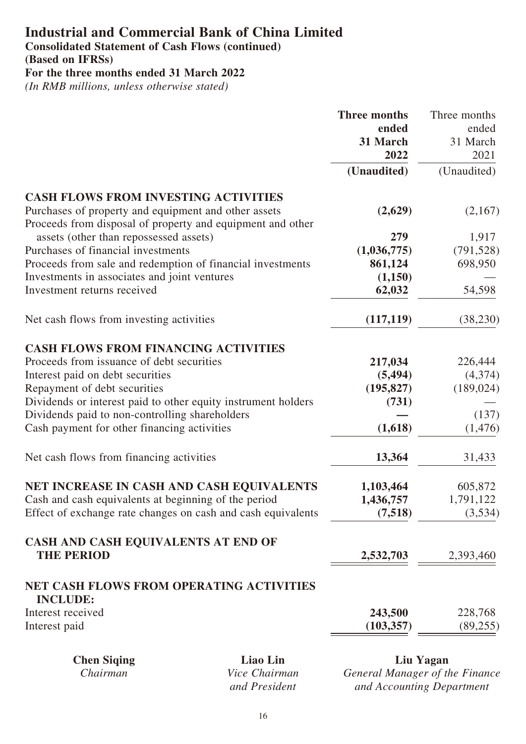**Consolidated Statement of Cash Flows (continued)**

**(Based on IFRSs)**

**For the three months ended 31 March 2022**

*(In RMB millions, unless otherwise stated)*

|                                                                                                                    |               | <b>Three months</b> | Three months                   |
|--------------------------------------------------------------------------------------------------------------------|---------------|---------------------|--------------------------------|
|                                                                                                                    |               | ended               | ended                          |
|                                                                                                                    |               | 31 March            | 31 March                       |
|                                                                                                                    |               | 2022                | 2021                           |
|                                                                                                                    |               | (Unaudited)         | (Unaudited)                    |
| <b>CASH FLOWS FROM INVESTING ACTIVITIES</b>                                                                        |               |                     |                                |
| Purchases of property and equipment and other assets<br>Proceeds from disposal of property and equipment and other |               | (2,629)             | (2,167)                        |
| assets (other than repossessed assets)                                                                             |               | 279                 | 1,917                          |
| Purchases of financial investments                                                                                 |               | (1,036,775)         | (791, 528)                     |
| Proceeds from sale and redemption of financial investments                                                         |               | 861,124             | 698,950                        |
| Investments in associates and joint ventures                                                                       |               | (1,150)             |                                |
| Investment returns received                                                                                        |               | 62,032              | 54,598                         |
| Net cash flows from investing activities                                                                           |               | (117, 119)          | (38, 230)                      |
| <b>CASH FLOWS FROM FINANCING ACTIVITIES</b>                                                                        |               |                     |                                |
| Proceeds from issuance of debt securities                                                                          |               | 217,034             | 226,444                        |
| Interest paid on debt securities                                                                                   |               | (5, 494)            | (4,374)                        |
| Repayment of debt securities                                                                                       |               | (195, 827)          | (189, 024)                     |
| Dividends or interest paid to other equity instrument holders                                                      |               | (731)               |                                |
| Dividends paid to non-controlling shareholders                                                                     |               |                     | (137)                          |
| Cash payment for other financing activities                                                                        |               | (1,618)             | (1, 476)                       |
| Net cash flows from financing activities                                                                           |               | 13,364              | 31,433                         |
| NET INCREASE IN CASH AND CASH EQUIVALENTS                                                                          |               | 1,103,464           | 605,872                        |
| Cash and cash equivalents at beginning of the period                                                               |               | 1,436,757           | 1,791,122                      |
| Effect of exchange rate changes on cash and cash equivalents                                                       |               | (7,518)             | (3,534)                        |
| CASH AND CASH EQUIVALENTS AT END OF                                                                                |               |                     |                                |
| <b>THE PERIOD</b>                                                                                                  |               | 2,532,703           | 2,393,460                      |
| <b>NET CASH FLOWS FROM OPERATING ACTIVITIES</b><br><b>INCLUDE:</b>                                                 |               |                     |                                |
| Interest received                                                                                                  |               | 243,500             | 228,768                        |
| Interest paid                                                                                                      |               | (103, 357)          | (89,255)                       |
| <b>Chen Siqing</b>                                                                                                 | Liao Lin      |                     | Liu Yagan                      |
| Chairman                                                                                                           | Vice Chairman |                     | General Manager of the Finance |

*and President*

*General Manager of the Finance and Accounting Department*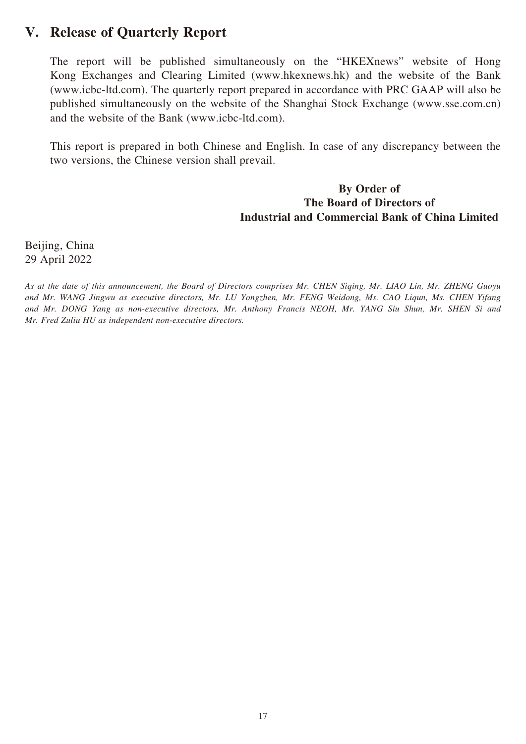### **V. Release of Quarterly Report**

The report will be published simultaneously on the "HKEXnews" website of Hong Kong Exchanges and Clearing Limited (www.hkexnews.hk) and the website of the Bank (www.icbc-ltd.com). The quarterly report prepared in accordance with PRC GAAP will also be published simultaneously on the website of the Shanghai Stock Exchange (www.sse.com.cn) and the website of the Bank (www.icbc-ltd.com).

This report is prepared in both Chinese and English. In case of any discrepancy between the two versions, the Chinese version shall prevail.

#### **By Order of The Board of Directors of Industrial and Commercial Bank of China Limited**

Beijing, China 29 April 2022

*As at the date of this announcement, the Board of Directors comprises Mr. CHEN Siqing, Mr. LIAO Lin, Mr. ZHENG Guoyu and Mr. WANG Jingwu as executive directors, Mr. LU Yongzhen, Mr. FENG Weidong, Ms. CAO Liqun, Ms. CHEN Yifang and Mr. DONG Yang as non-executive directors, Mr. Anthony Francis NEOH, Mr. YANG Siu Shun, Mr. SHEN Si and Mr. Fred Zuliu HU as independent non-executive directors.*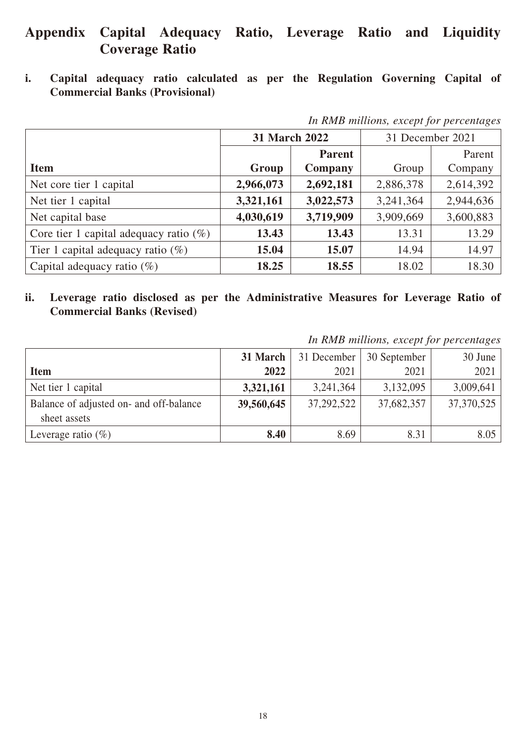### **Appendix Capital Adequacy Ratio, Leverage Ratio and Liquidity Coverage Ratio**

**i. Capital adequacy ratio calculated as per the Regulation Governing Capital of Commercial Banks (Provisional)**

|                                           | 31 March 2022 |               | 31 December 2021 |           |
|-------------------------------------------|---------------|---------------|------------------|-----------|
|                                           |               | <b>Parent</b> |                  | Parent    |
| <b>Item</b>                               | Group         | Company       | Group            | Company   |
| Net core tier 1 capital                   | 2,966,073     | 2,692,181     | 2,886,378        | 2,614,392 |
| Net tier 1 capital                        | 3,321,161     | 3,022,573     | 3,241,364        | 2,944,636 |
| Net capital base                          | 4,030,619     | 3,719,909     | 3,909,669        | 3,600,883 |
| Core tier 1 capital adequacy ratio $(\%)$ | 13.43         | 13.43         | 13.31            | 13.29     |
| Tier 1 capital adequacy ratio $(\%)$      | 15.04         | 15.07         | 14.94            | 14.97     |
| Capital adequacy ratio $(\%)$             | 18.25         | 18.55         | 18.02            | 18.30     |

*In RMB millions, except for percentages*

**ii. Leverage ratio disclosed as per the Administrative Measures for Leverage Ratio of Commercial Banks (Revised)**

*In RMB millions, except for percentages*

|                                                         | 31 March $\vert$ | 31 December | 30 September | 30 June    |
|---------------------------------------------------------|------------------|-------------|--------------|------------|
| <b>Item</b>                                             | 2022             | 2021        | 2021         | 2021       |
| Net tier 1 capital                                      | 3,321,161        | 3,241,364   | 3,132,095    | 3,009,641  |
| Balance of adjusted on- and off-balance<br>sheet assets | 39,560,645       | 37,292,522  | 37,682,357   | 37,370,525 |
| Leverage ratio $(\%)$                                   | 8.40             | 8.69        | 8.31         | 8.05       |